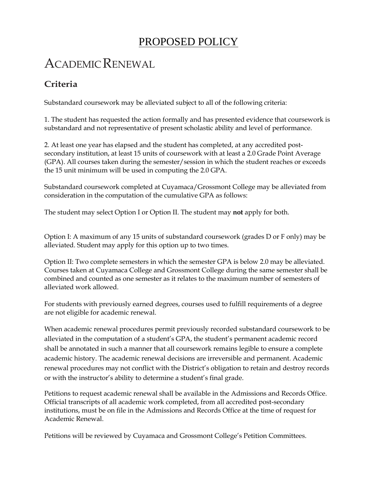## PROPOSED POLICY

# ACADEMIC RENEWAL

#### **Criteria**

Substandard coursework may be alleviated subject to all of the following criteria:

1. The student has requested the action formally and has presented evidence that coursework is substandard and not representative of present scholastic ability and level of performance.

2. At least one year has elapsed and the student has completed, at any accredited postsecondary institution, at least 15 units of coursework with at least a 2.0 Grade Point Average (GPA). All courses taken during the semester/session in which the student reaches or exceeds the 15 unit minimum will be used in computing the 2.0 GPA.

Substandard coursework completed at Cuyamaca/Grossmont College may be alleviated from consideration in the computation of the cumulative GPA as follows:

The student may select Option I or Option II. The student may **not** apply for both.

Option I: A maximum of any 15 units of substandard coursework (grades D or F only) may be alleviated. Student may apply for this option up to two times.

Option II: Two complete semesters in which the semester GPA is below 2.0 may be alleviated. Courses taken at Cuyamaca College and Grossmont College during the same semester shall be combined and counted as one semester as it relates to the maximum number of semesters of alleviated work allowed.

For students with previously earned degrees, courses used to fulfill requirements of a degree are not eligible for academic renewal.

When academic renewal procedures permit previously recorded substandard coursework to be alleviated in the computation of a student's GPA, the student's permanent academic record shall be annotated in such a manner that all coursework remains legible to ensure a complete academic history. The academic renewal decisions are irreversible and permanent. Academic renewal procedures may not conflict with the District's obligation to retain and destroy records or with the instructor's ability to determine a student's final grade.

Petitions to request academic renewal shall be available in the Admissions and Records Office. Official transcripts of all academic work completed, from all accredited post-secondary institutions, must be on file in the Admissions and Records Office at the time of request for Academic Renewal.

Petitions will be reviewed by Cuyamaca and Grossmont College's Petition Committees.